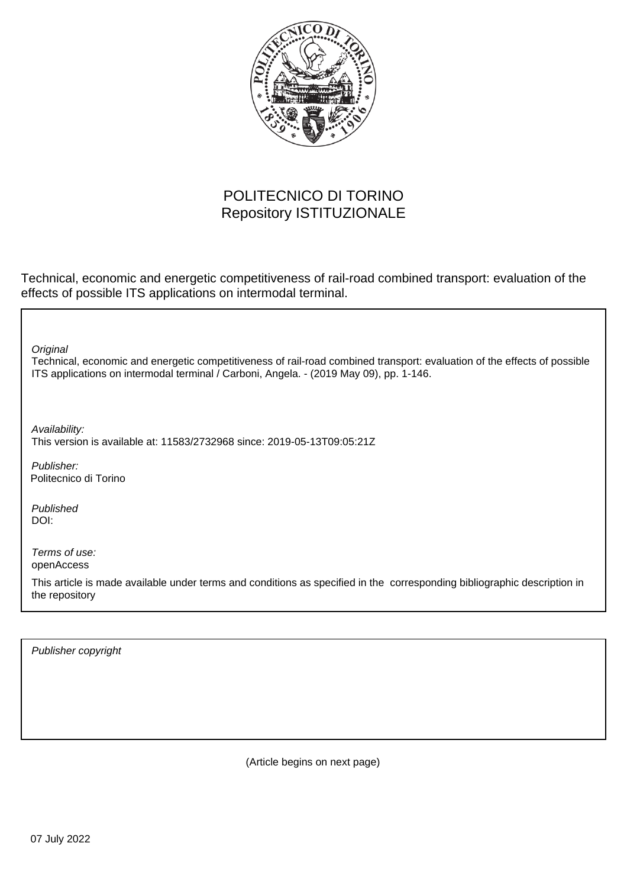

## POLITECNICO DI TORINO Repository ISTITUZIONALE

Technical, economic and energetic competitiveness of rail-road combined transport: evaluation of the effects of possible ITS applications on intermodal terminal.

Technical, economic and energetic competitiveness of rail-road combined transport: evaluation of the effects of possible ITS applications on intermodal terminal / Carboni, Angela. - (2019 May 09), pp. 1-146. **Original** Publisher: Published DOI: Terms of use: openAccess Publisher copyright This article is made available under terms and conditions as specified in the corresponding bibliographic description in the repository Availability: This version is available at: 11583/2732968 since: 2019-05-13T09:05:21Z Politecnico di Torino

(Article begins on next page)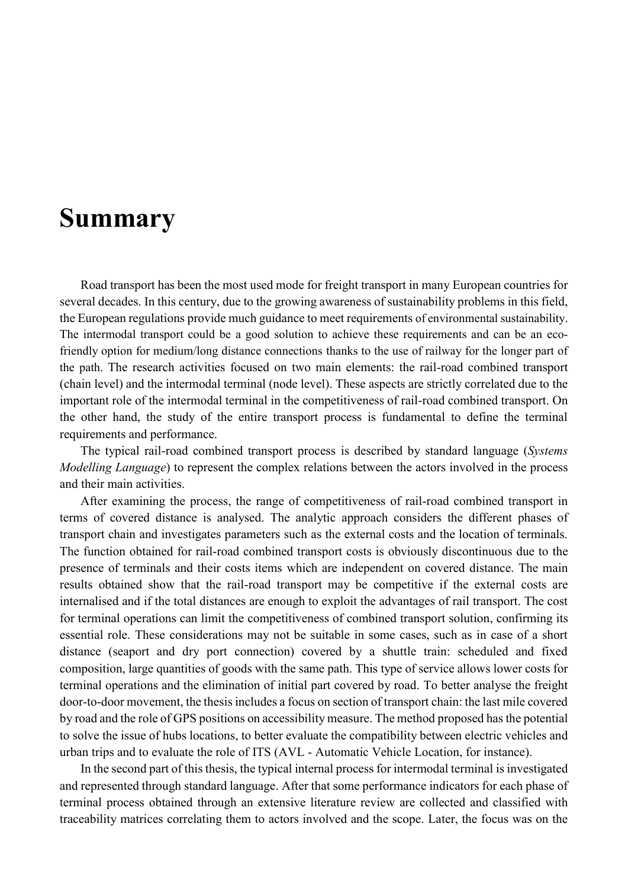## **Summary**

Road transport has been the most used mode for freight transport in many European countries for several decades. In this century, due to the growing awareness of sustainability problems in this field, the European regulations provide much guidance to meet requirements of environmental sustainability. The intermodal transport could be a good solution to achieve these requirements and can be an ecofriendly option for medium/long distance connections thanks to the use of railway for the longer part of the path. The research activities focused on two main elements: the rail-road combined transport (chain level) and the intermodal terminal (node level). These aspects are strictly correlated due to the important role of the intermodal terminal in the competitiveness of rail-road combined transport. On the other hand, the study of the entire transport process is fundamental to define the terminal requirements and performance.

The typical rail-road combined transport process is described by standard language (*Systems Modelling Language*) to represent the complex relations between the actors involved in the process and their main activities.

After examining the process, the range of competitiveness of rail-road combined transport in terms of covered distance is analysed. The analytic approach considers the different phases of transport chain and investigates parameters such as the external costs and the location of terminals. The function obtained for rail-road combined transport costs is obviously discontinuous due to the presence of terminals and their costs items which are independent on covered distance. The main results obtained show that the rail-road transport may be competitive if the external costs are internalised and if the total distances are enough to exploit the advantages of rail transport. The cost for terminal operations can limit the competitiveness of combined transport solution, confirming its essential role. These considerations may not be suitable in some cases, such as in case of a short distance (seaport and dry port connection) covered by a shuttle train: scheduled and fixed composition, large quantities of goods with the same path. This type of service allows lower costs for terminal operations and the elimination of initial part covered by road. To better analyse the freight door-to-door movement, the thesis includes a focus on section of transport chain: the last mile covered by road and the role of GPS positions on accessibility measure. The method proposed has the potential to solve the issue of hubs locations, to better evaluate the compatibility between electric vehicles and urban trips and to evaluate the role of ITS (AVL - Automatic Vehicle Location, for instance).

In the second part of this thesis, the typical internal process for intermodal terminal is investigated and represented through standard language. After that some performance indicators for each phase of terminal process obtained through an extensive literature review are collected and classified with traceability matrices correlating them to actors involved and the scope. Later, the focus was on the